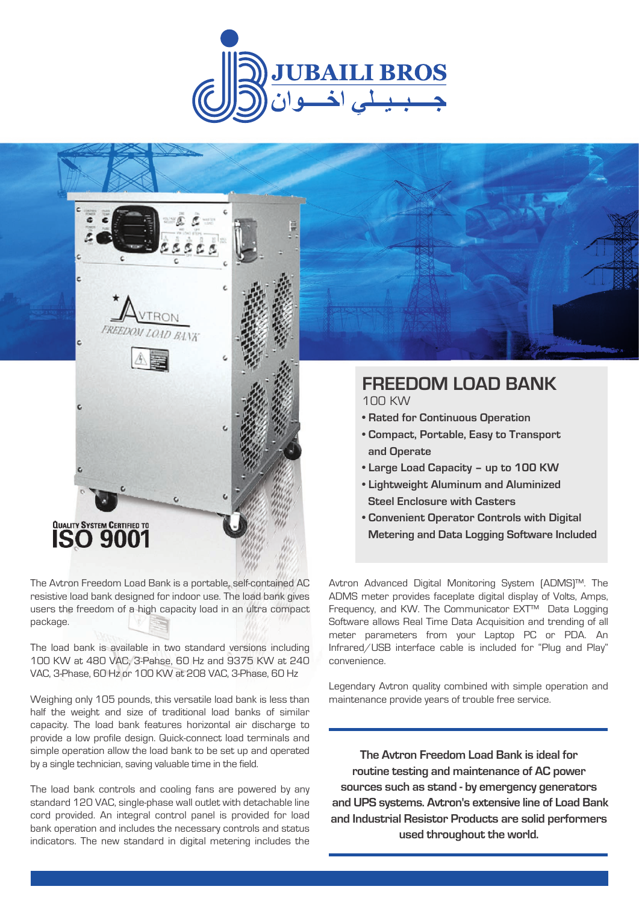



The Avtron Freedom Load Bank is a portable, self-contained AC resistive load bank designed for indoor use. The load bank gives users the freedom of a high capacity load in an ultra compact package.

The load bank is available in two standard versions including 100 KW at 480 VAC, 3-Pahse, 60 Hz and 9375 KW at 240 VAC, 3-Phase, 60 Hz or 100 KW at 208 VAC, 3-Phase, 60 Hz

Weighing only 105 pounds, this versatile load bank is less than half the weight and size of traditional load banks of similar capacity. The load bank features horizontal air discharge to provide a low profile design. Quick-connect load terminals and simple operation allow the load bank to be set up and operated by a single technician, saving valuable time in the field.

The load bank controls and cooling fans are powered by any standard 120 VAC, single-phase wall outlet with detachable line cord provided. An integral control panel is provided for load bank operation and includes the necessary controls and status indicators. The new standard in digital metering includes the

# **FREEDOM LOAD BANK**

100 KW

- **Rated for Continuous Operation**
- **Compact, Portable, Easy to Transport and Operate**
- **Large Load Capacity up to 100 KW**
- **Lightweight Aluminum and Aluminized Steel Enclosure with Casters**
- **Convenient Operator Controls with Digital Metering and Data Logging Software Included**

Avtron Advanced Digital Monitoring System (ADMS)™. The ADMS meter provides faceplate digital display of Volts, Amps, Frequency, and KW. The Communicator EXT™ Data Logging Software allows Real Time Data Acquisition and trending of all meter parameters from your Laptop PC or PDA. An Infrared/USB interface cable is included for "Plug and Play" convenience.

Legendary Avtron quality combined with simple operation and maintenance provide years of trouble free service.

**The Avtron Freedom Load Bank is ideal for routine testing and maintenance of AC power sources such as stand - by emergency generators and UPS systems. Avtron's extensive line of Load Bank and Industrial Resistor Products are solid performers used throughout the world.**